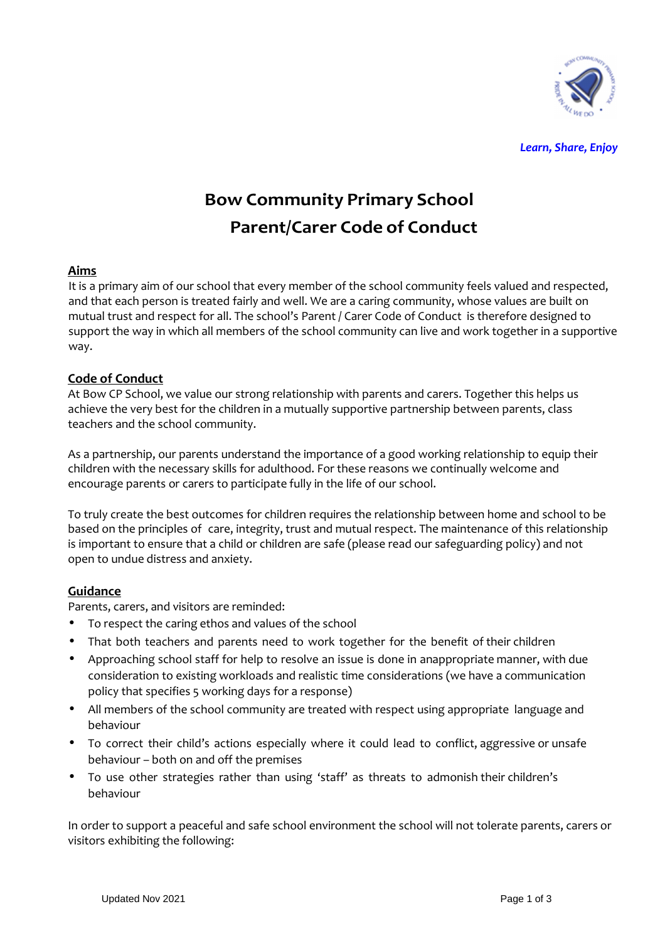

*Learn, Share, Enjoy*

# **Bow Community Primary School Parent/Carer Code of Conduct**

### **Aims**

It is a primary aim of our school that every member of the school community feels valued and respected, and that each person is treated fairly and well. We are a caring community, whose values are built on mutual trust and respect for all. The school's Parent / Carer Code of Conduct is therefore designed to support the way in which all members of the school community can live and work together in a supportive way.

### **Code of Conduct**

At Bow CP School, we value our strong relationship with parents and carers. Together this helps us achieve the very best for the children in a mutually supportive partnership between parents, class teachers and the school community.

As a partnership, our parents understand the importance of a good working relationship to equip their children with the necessary skills for adulthood. For these reasons we continually welcome and encourage parents or carers to participate fully in the life of our school.

To truly create the best outcomes for children requires the relationship between home and school to be based on the principles of care, integrity, trust and mutual respect. The maintenance of this relationship is important to ensure that a child or children are safe (please read our safeguarding policy) and not open to undue distress and anxiety.

## **Guidance**

Parents, carers, and visitors are reminded:

- To respect the caring ethos and values of the school
- That both teachers and parents need to work together for the benefit of their children
- Approaching school staff for help to resolve an issue is done in anappropriate manner, with due consideration to existing workloads and realistic time considerations (we have a communication policy that specifies 5 working days for a response)
- All members of the school community are treated with respect using appropriate language and behaviour
- To correct their child's actions especially where it could lead to conflict, aggressive or unsafe behaviour – both on and off the premises
- To use other strategies rather than using 'staff' as threats to admonish their children's behaviour

In order to support a peaceful and safe school environment the school will not tolerate parents, carers or visitors exhibiting the following: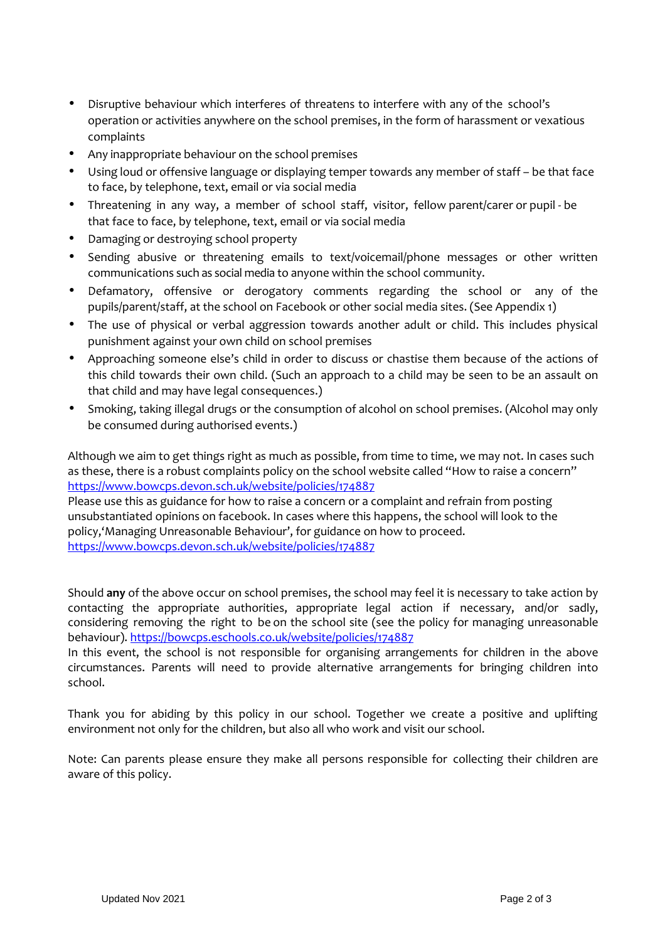- Disruptive behaviour which interferes of threatens to interfere with any of the school's operation or activities anywhere on the school premises, in the form of harassment or vexatious complaints
- Any inappropriate behaviour on the school premises
- Using loud or offensive language or displaying temper towards any member of staff be that face to face, by telephone, text, email or via social media
- Threatening in any way, a member of school staff, visitor, fellow parent/carer or pupil be that face to face, by telephone, text, email or via social media
- Damaging or destroying school property
- Sending abusive or threatening emails to text/voicemail/phone messages or other written communications such as social media to anyone within the school community.
- Defamatory, offensive or derogatory comments regarding the school or any of the pupils/parent/staff, at the school on Facebook or other social media sites. (See Appendix 1)
- The use of physical or verbal aggression towards another adult or child. This includes physical punishment against your own child on school premises
- Approaching someone else's child in order to discuss or chastise them because of the actions of this child towards their own child. (Such an approach to a child may be seen to be an assault on that child and may have legal consequences.)
- Smoking, taking illegal drugs or the consumption of alcohol on school premises. (Alcohol may only be consumed during authorised events.)

Although we aim to get things right as much as possible, from time to time, we may not. In cases such as these, there is a robust complaints policy on the school website called "How to raise a concern" https://www.bowcps.devon.sch.uk/website/policies/174887

Please use this as guidance for how to raise a concern or a complaint and refrain from posting unsubstantiated opinions on facebook. In cases where this happens, the school will look to the policy,'Managing Unreasonable Behaviour', for guidance on how to proceed. https://www.bowcps.devon.sch.uk/website/policies/174887

Should **any** of the above occur on school premises, the school may feel it is necessary to take action by contacting the appropriate authorities, appropriate legal action if necessary, and/or sadly, considering removing the right to be on the school site (see the policy for managing unreasonable behaviour). https://bowcps.eschools.co.uk/website/policies/174887

In this event, the school is not responsible for organising arrangements for children in the above circumstances. Parents will need to provide alternative arrangements for bringing children into school.

Thank you for abiding by this policy in our school. Together we create a positive and uplifting environment not only for the children, but also all who work and visit our school.

Note: Can parents please ensure they make all persons responsible for collecting their children are aware of this policy.